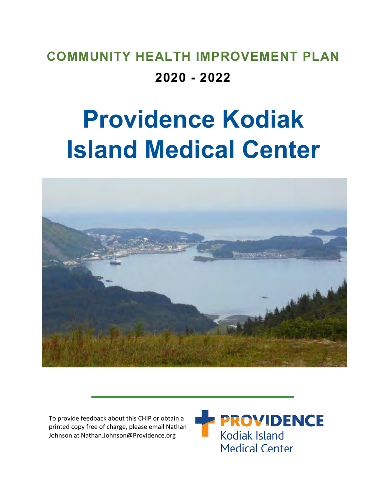# **COMMUNITY HEALTH IMPROVEMENT PLAN 2020 - 2022**

# **Providence Kodiak Island Medical Center**



To provide feedback about this CHIP or obtain a printed copy free of charge, please email Nathan Johnson at Nathan.Johnson@Providence.org

**PROVIDENCE** Kodiak Island **Medical Center**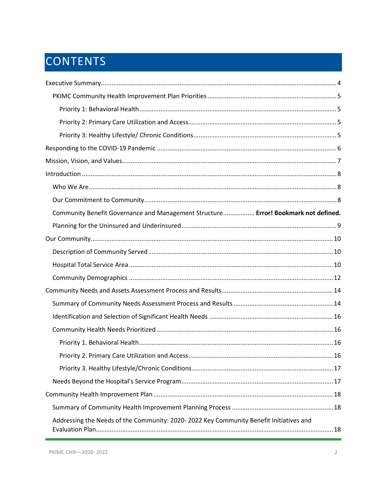# CONTENTS

| Community Benefit Governance and Management Structure Error! Bookmark not defined.     |
|----------------------------------------------------------------------------------------|
|                                                                                        |
|                                                                                        |
|                                                                                        |
|                                                                                        |
|                                                                                        |
|                                                                                        |
|                                                                                        |
|                                                                                        |
|                                                                                        |
|                                                                                        |
|                                                                                        |
|                                                                                        |
|                                                                                        |
|                                                                                        |
|                                                                                        |
| Addressing the Needs of the Community: 2020-2022 Key Community Benefit Initiatives and |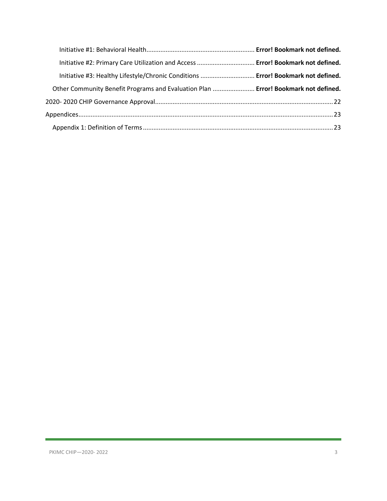| Initiative #2: Primary Care Utilization and Access  Error! Bookmark not defined.   |  |
|------------------------------------------------------------------------------------|--|
| Initiative #3: Healthy Lifestyle/Chronic Conditions  Error! Bookmark not defined.  |  |
| Other Community Benefit Programs and Evaluation Plan  Error! Bookmark not defined. |  |
|                                                                                    |  |
|                                                                                    |  |
|                                                                                    |  |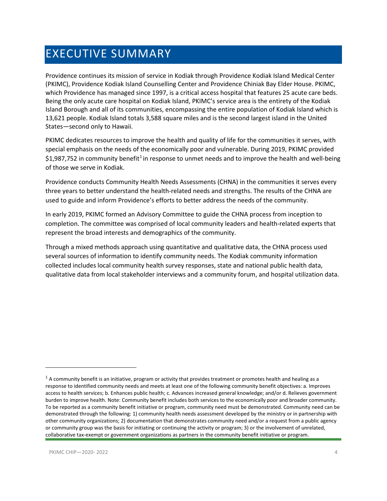# <span id="page-3-0"></span>EXECUTIVE SUMMARY

Providence continues its mission of service in Kodiak through Providence Kodiak Island Medical Center (PKIMC), Providence Kodiak Island Counselling Center and Providence Chiniak Bay Elder House. PKIMC, which Providence has managed since 1997, is a critical access hospital that features 25 acute care beds. Being the only acute care hospital on Kodiak Island, PKIMC's service area is the entirety of the Kodiak Island Borough and all of its communities, encompassing the entire population of Kodiak Island which is 13,621 people. Kodiak Island totals 3,588 square miles and is the second largest island in the United States—second only to Hawaii.

PKIMC dedicates resources to improve the health and quality of life for the communities it serves, with special emphasis on the needs of the economically poor and vulnerable. During 2019, PKIMC provided \$[1](#page-3-2),987,752 in community benefit<sup>1</sup> in response to unmet needs and to improve the health and well-being of those we serve in Kodiak.

Providence conducts Community Health Needs Assessments (CHNA) in the communities it serves every three years to better understand the health-related needs and strengths. The results of the CHNA are used to guide and inform Providence's efforts to better address the needs of the community.

In early 2019, PKIMC formed an Advisory Committee to guide the CHNA process from inception to completion. The committee was comprised of local community leaders and health-related experts that represent the broad interests and demographics of the community.

<span id="page-3-1"></span>Through a mixed methods approach using quantitative and qualitative data, the CHNA process used several sources of information to identify community needs. The Kodiak community information collected includes local community health survey responses, state and national public health data, qualitative data from local stakeholder interviews and a community forum, and hospital utilization data.

l

<span id="page-3-2"></span> $1$  A community benefit is an initiative, program or activity that provides treatment or promotes health and healing as a response to identified community needs and meets at least one of the following community benefit objectives: a. Improves access to health services; b. Enhances public health; c. Advances increased general knowledge; and/or d. Relieves government burden to improve health. Note: Community benefit includes both services to the economically poor and broader community. To be reported as a community benefit initiative or program, community need must be demonstrated. Community need can be demonstrated through the following: 1) community health needs assessment developed by the ministry or in partnership with other community organizations; 2) documentation that demonstrates community need and/or a request from a public agency or community group was the basis for initiating or continuing the activity or program; 3) or the involvement of unrelated, collaborative tax-exempt or government organizations as partners in the community benefit initiative or program.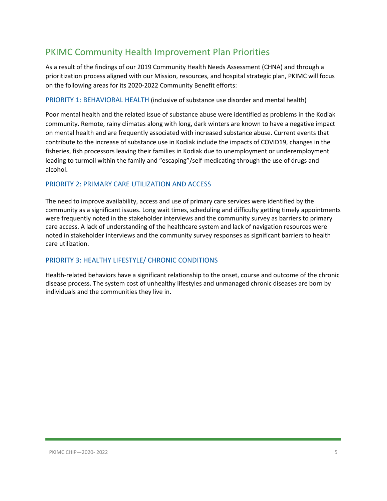#### PKIMC Community Health Improvement Plan Priorities

As a result of the findings of our 2019 Community Health Needs Assessment (CHNA) and through a prioritization process aligned with our Mission, resources, and hospital strategic plan, PKIMC will focus on the following areas for its 2020-2022 Community Benefit efforts:

<span id="page-4-0"></span>PRIORITY 1: BEHAVIORAL HEALTH (inclusive of substance use disorder and mental health)

<span id="page-4-1"></span>Poor mental health and the related issue of substance abuse were identified as problems in the Kodiak community. Remote, rainy climates along with long, dark winters are known to have a negative impact on mental health and are frequently associated with increased substance abuse. Current events that contribute to the increase of substance use in Kodiak include the impacts of COVID19, changes in the fisheries, fish processors leaving their families in Kodiak due to unemployment or underemployment leading to turmoil within the family and "escaping"/self-medicating through the use of drugs and alcohol.

#### PRIORITY 2: PRIMARY CARE UTILIZATION AND ACCESS

The need to improve availability, access and use of primary care services were identified by the community as a significant issues. Long wait times, scheduling and difficulty getting timely appointments were frequently noted in the stakeholder interviews and the community survey as barriers to primary care access. A lack of understanding of the healthcare system and lack of navigation resources were noted in stakeholder interviews and the community survey responses as significant barriers to health care utilization.

#### <span id="page-4-2"></span>PRIORITY 3: HEALTHY LIFESTYLE/ CHRONIC CONDITIONS

Health-related behaviors have a significant relationship to the onset, course and outcome of the chronic disease process. The system cost of unhealthy lifestyles and unmanaged chronic diseases are born by individuals and the communities they live in.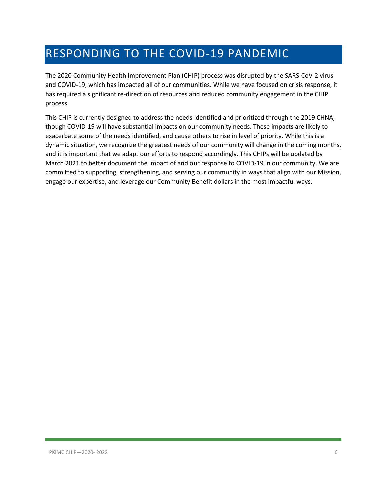# <span id="page-5-0"></span>RESPONDING TO THE COVID-19 PANDEMIC

The 2020 Community Health Improvement Plan (CHIP) process was disrupted by the SARS-CoV-2 virus and COVID-19, which has impacted all of our communities. While we have focused on crisis response, it has required a significant re-direction of resources and reduced community engagement in the CHIP process.

This CHIP is currently designed to address the needs identified and prioritized through the 2019 CHNA, though COVID-19 will have substantial impacts on our community needs. These impacts are likely to exacerbate some of the needs identified, and cause others to rise in level of priority. While this is a dynamic situation, we recognize the greatest needs of our community will change in the coming months, and it is important that we adapt our efforts to respond accordingly. This CHIPs will be updated by March 2021 to better document the impact of and our response to COVID-19 in our community. We are committed to supporting, strengthening, and serving our community in ways that align with our Mission, engage our expertise, and leverage our Community Benefit dollars in the most impactful ways.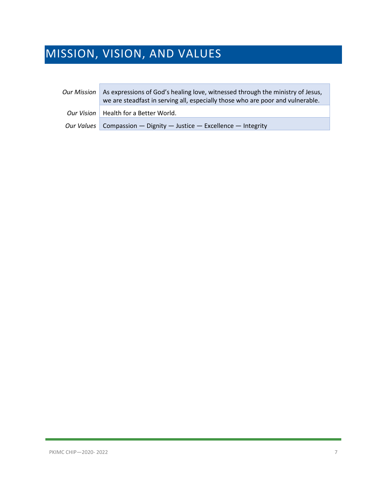# <span id="page-6-0"></span>MISSION, VISION, AND VALUES

| Our Mission | As expressions of God's healing love, witnessed through the ministry of Jesus,<br>we are steadfast in serving all, especially those who are poor and vulnerable. |
|-------------|------------------------------------------------------------------------------------------------------------------------------------------------------------------|
|             | Our Vision   Health for a Better World.                                                                                                                          |
|             | Our Values   Compassion - Dignity - Justice - Excellence - Integrity                                                                                             |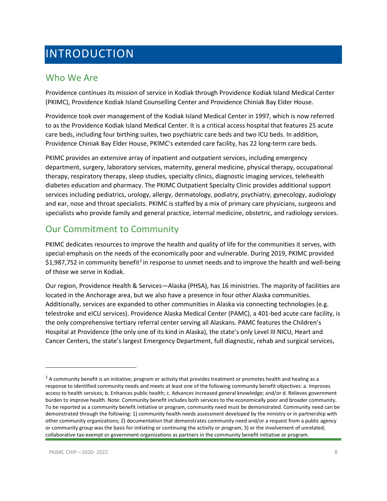## <span id="page-7-0"></span>INTRODUCTION

#### <span id="page-7-1"></span>Who We Are

Providence continues its mission of service in Kodiak through Providence Kodiak Island Medical Center (PKIMC), Providence Kodiak Island Counselling Center and Providence Chiniak Bay Elder House.

Providence took over management of the Kodiak Island Medical Center in 1997, which is now referred to as the Providence Kodiak Island Medical Center. It is a critical access hospital that features 25 acute care beds, including four birthing suites, two psychiatric care beds and two ICU beds. In addition, [Providence Chiniak Bay](http://alaska.providence.org/locations/p/providence-chiniak-bay-elder-house) [Elder House,](http://alaska.providence.org/locations/p/providence-chiniak-bay-elder-house) PKIMC's extended care facility, has 22 long-term care beds.

PKIMC provides an extensive array of inpatient and outpatient services, including emergency department, surgery, laboratory services, maternity, general medicine, physical therapy, occupational therapy, respiratory therapy, sleep studies, specialty clinics, diagnostic imaging services, [telehealth](http://alaska.providence.org/%7E/media/Files/Providence%20AK/PDFs/TelehealthProgram.pdf)  [diabetes education a](http://alaska.providence.org/%7E/media/Files/Providence%20AK/PDFs/TelehealthProgram.pdf)nd pharmacy. The PKIMC Outpatient Specialty Clinic provides additional support services including pediatrics, urology, allergy, dermatology, podiatry[, psychiatry,](http://alaska.providence.org/locations/p/pkimc/counseling-center) gynecology, audiology and ear, nose and throat specialists. PKIMC is staffed by a mix of primary care physicians, surgeons and specialists who provide family and general practice, internal medicine, obstetric, and radiology services.

#### <span id="page-7-2"></span>Our Commitment to Community

PKIMC dedicates resources to improve the health and quality of life for the communities it serves, with special emphasis on the needs of the economically poor and vulnerable. During 2019, PKIMC provided  $$1,987,752$  $$1,987,752$  in community benefit<sup>2</sup> in response to unmet needs and to improve the health and well-being of those we serve in Kodiak.

Our region, Providence Health & Services—Alaska (PHSA), has 16 ministries. The majority of facilities are located in the Anchorage area, but we also have a presence in four other Alaska communities. Additionally, services are expanded to other communities in Alaska via connecting technologies (e.g. telestroke and eICU services). Providence Alaska Medical Center (PAMC), a 401-bed acute care facility, is the only comprehensive tertiary referral center serving all Alaskans. PAMC features the Children's Hospital at Providence (the only one of its kind in Alaska), the state's only Level III NICU, Heart and Cancer Centers, the state's largest Emergency Department, full diagnostic, rehab and surgical services,

l

<span id="page-7-3"></span> $<sup>2</sup>$  A community benefit is an initiative, program or activity that provides treatment or promotes health and healing as a</sup> response to identified community needs and meets at least one of the following community benefit objectives: a. Improves access to health services; b. Enhances public health; c. Advances increased general knowledge; and/or d. Relieves government burden to improve health. Note: Community benefit includes both services to the economically poor and broader community. To be reported as a community benefit initiative or program, community need must be demonstrated. Community need can be demonstrated through the following: 1) community health needs assessment developed by the ministry or in partnership with other community organizations; 2) documentation that demonstrates community need and/or a request from a public agency or community group was the basis for initiating or continuing the activity or program; 3) or the involvement of unrelated, collaborative tax-exempt or government organizations as partners in the community benefit initiative or program.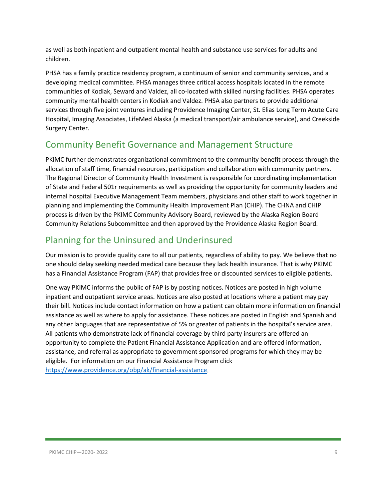as well as both inpatient and outpatient mental health and substance use services for adults and children.

PHSA has a family practice residency program, a continuum of senior and community services, and a developing medical committee. PHSA manages three critical access hospitals located in the remote communities of Kodiak, Seward and Valdez, all co-located with skilled nursing facilities. PHSA operates community mental health centers in Kodiak and Valdez. PHSA also partners to provide additional services through five joint ventures including Providence Imaging Center, St. Elias Long Term Acute Care Hospital, Imaging Associates, LifeMed Alaska (a medical transport/air ambulance service), and Creekside Surgery Center.

#### Community Benefit Governance and Management Structure

PKIMC further demonstrates organizational commitment to the community benefit process through the allocation of staff time, financial resources, participation and collaboration with community partners. The Regional Director of Community Health Investment is responsible for coordinating implementation of State and Federal 501r requirements as well as providing the opportunity for community leaders and internal hospital Executive Management Team members, physicians and other staff to work together in planning and implementing the Community Health Improvement Plan (CHIP). The CHNA and CHIP process is driven by the PKIMC Community Advisory Board, reviewed by the Alaska Region Board Community Relations Subcommittee and then approved by the Providence Alaska Region Board.

#### <span id="page-8-0"></span>Planning for the Uninsured and Underinsured

Our mission is to provide quality care to all our patients, regardless of ability to pay. We believe that no one should delay seeking needed medical care because they lack health insurance. That is why PKIMC has a Financial Assistance Program (FAP) that provides free or discounted services to eligible patients.

One way PKIMC informs the public of FAP is by posting notices. Notices are posted in high volume inpatient and outpatient service areas. Notices are also posted at locations where a patient may pay their bill. Notices include contact information on how a patient can obtain more information on financial assistance as well as where to apply for assistance. These notices are posted in English and Spanish and any other languages that are representative of 5% or greater of patients in the hospital's service area. All patients who demonstrate lack of financial coverage by third party insurers are offered an opportunity to complete the Patient Financial Assistance Application and are offered information, assistance, and referral as appropriate to government sponsored programs for which they may be eligible. For information on our Financial Assistance Program click [https://www.providence.org/obp/ak/financial-assistance.](https://www.providence.org/obp/ak/financial-assistance)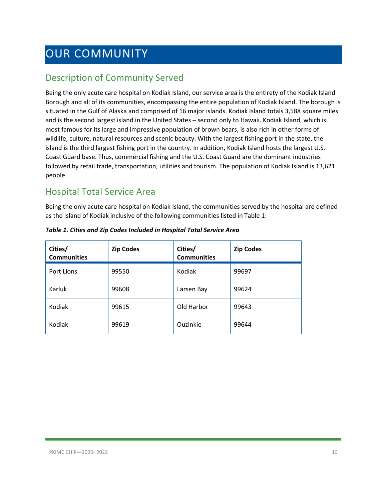## <span id="page-9-0"></span>OUR COMMUNITY

#### <span id="page-9-1"></span>Description of Community Served

Being the only acute care hospital on Kodiak Island, our service area is the entirety of the Kodiak Island Borough and all of its communities, encompassing the entire population of Kodiak Island. The borough is situated in the Gulf of Alaska and comprised of 16 major islands. Kodiak Island totals 3,588 square miles and is the second largest island in the United States – second only to Hawaii. Kodiak Island, which is most famous for its large and impressive population of brown bears, is also rich in other forms of wildlife, culture, natural resources and scenic beauty. With the largest fishing port in the state, the island is the third largest fishing port in the country. In addition, Kodiak Island hosts the largest U.S. Coast Guard base. Thus, commercial fishing and the U.S. Coast Guard are the dominant industries followed by retail trade, transportation, utilities and tourism. The population of Kodiak Island is 13,621 people.

#### <span id="page-9-2"></span>Hospital Total Service Area

Being the only acute care hospital on Kodiak Island, the communities served by the hospital are defined as the Island of Kodiak inclusive of the following communities listed in Table 1:

| Cities/<br><b>Communities</b> | <b>Zip Codes</b> | Cities/<br><b>Communities</b> | <b>Zip Codes</b> |
|-------------------------------|------------------|-------------------------------|------------------|
| Port Lions                    | 99550            | Kodiak                        | 99697            |
| Karluk                        | 99608            | Larsen Bay                    | 99624            |
| Kodiak                        | 99615            | Old Harbor                    | 99643            |
| Kodiak                        | 99619            | Ouzinkie                      | 99644            |

*Table 1. Cities and Zip Codes Included in Hospital Total Service Area*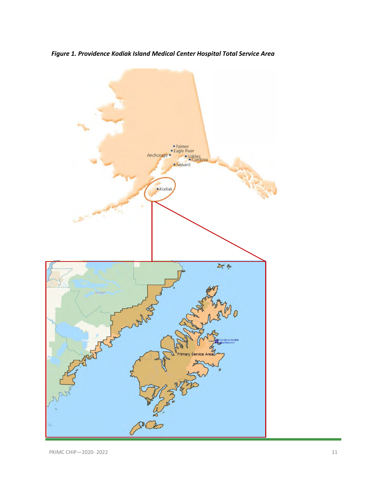

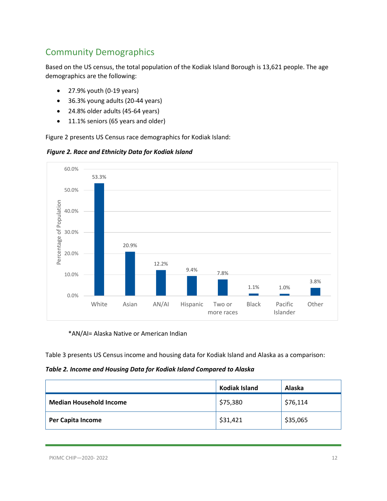#### <span id="page-11-0"></span>Community Demographics

Based on the US census, the total population of the Kodiak Island Borough is 13,621 people. The age demographics are the following:

- 27.9% youth (0-19 years)
- 36.3% young adults (20-44 years)
- 24.8% older adults (45-64 years)
- 11.1% seniors (65 years and older)

Figure 2 presents US Census race demographics for Kodiak Island:





\*AN/AI= Alaska Native or American Indian

Table 3 presents US Census income and housing data for Kodiak Island and Alaska as a comparison:

*Table 2. Income and Housing Data for Kodiak Island Compared to Alaska*

|                                | <b>Kodiak Island</b> | Alaska   |
|--------------------------------|----------------------|----------|
| <b>Median Household Income</b> | \$75,380             | \$76,114 |
| <b>Per Capita Income</b>       | \$31,421             | \$35,065 |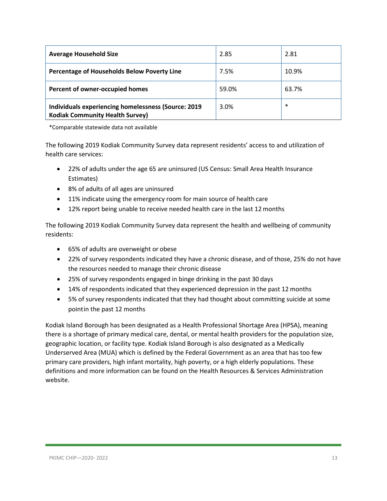| <b>Average Household Size</b>                                                                        | 2.85  | 2.81   |
|------------------------------------------------------------------------------------------------------|-------|--------|
| <b>Percentage of Households Below Poverty Line</b>                                                   | 7.5%  | 10.9%  |
| Percent of owner-occupied homes                                                                      | 59.0% | 63.7%  |
| <b>Individuals experiencing homelessness (Source: 2019</b><br><b>Kodiak Community Health Survey)</b> | 3.0%  | $\ast$ |

\*Comparable statewide data not available

The following 2019 Kodiak Community Survey data represent residents' access to and utilization of health care services:

- 22% of adults under the age 65 are uninsured (US Census: Small Area Health Insurance Estimates)
- 8% of adults of all ages are uninsured
- 11% indicate using the emergency room for main source of health care
- 12% report being unable to receive needed health care in the last 12 months

The following 2019 Kodiak Community Survey data represent the health and wellbeing of community residents:

- 65% of adults are overweight or obese
- 22% of survey respondents indicated they have a chronic disease, and of those, 25% do not have the resources needed to manage their chronic disease
- 25% of survey respondents engaged in binge drinking in the past 30 days
- 14% of respondents indicated that they experienced depression in the past 12 months
- 5% of survey respondents indicated that they had thought about committing suicide at some pointin the past 12 months

Kodiak Island Borough has been designated as a Health Professional Shortage Area (HPSA), meaning there is a shortage of primary medical care, dental, or mental health providers for the population size, geographic location, or facility type. Kodiak Island Borough is also designated as a Medically Underserved Area (MUA) which is defined by the Federal Government as an area that has too few primary care providers, high infant mortality, high poverty, or a high elderly populations. These definitions and more information can be found on the Health Resources & Services Administration website.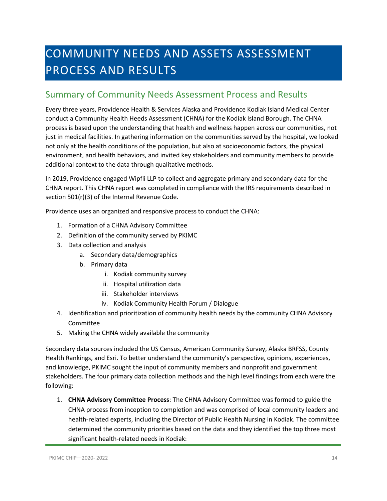# <span id="page-13-0"></span>COMMUNITY NEEDS AND ASSETS ASSESSMENT PROCESS AND RESULTS

#### <span id="page-13-1"></span>Summary of Community Needs Assessment Process and Results

Every three years, Providence Health & Services Alaska and Providence Kodiak Island Medical Center conduct a Community Health Heeds Assessment (CHNA) for the Kodiak Island Borough. The CHNA process is based upon the understanding that health and wellness happen across our communities, not just in medical facilities. In gathering information on the communities served by the hospital, we looked not only at the health conditions of the population, but also at socioeconomic factors, the physical environment, and health behaviors, and invited key stakeholders and community members to provide additional context to the data through qualitative methods.

In 2019, Providence engaged Wipfli LLP to collect and aggregate primary and secondary data for the CHNA report. This CHNA report was completed in compliance with the IRS requirements described in section 501(r)(3) of the Internal Revenue Code.

Providence uses an organized and responsive process to conduct the CHNA:

- 1. Formation of a CHNA Advisory Committee
- 2. Definition of the community served by PKIMC
- 3. Data collection and analysis
	- a. Secondary data/demographics
	- b. Primary data
		- i. Kodiak community survey
		- ii. Hospital utilization data
		- iii. Stakeholder interviews
		- iv. Kodiak Community Health Forum / Dialogue
- 4. Identification and prioritization of community health needs by the community CHNA Advisory Committee
- 5. Making the CHNA widely available the community

Secondary data sources included the US Census, American Community Survey, Alaska BRFSS, County Health Rankings, and Esri. To better understand the community's perspective, opinions, experiences, and knowledge, PKIMC sought the input of community members and nonprofit and government stakeholders. The four primary data collection methods and the high level findings from each were the following:

1. **CHNA Advisory Committee Process**: The CHNA Advisory Committee was formed to guide the CHNA process from inception to completion and was comprised of local community leaders and health-related experts, including the Director of Public Health Nursing in Kodiak. The committee determined the community priorities based on the data and they identified the top three most significant health-related needs in Kodiak: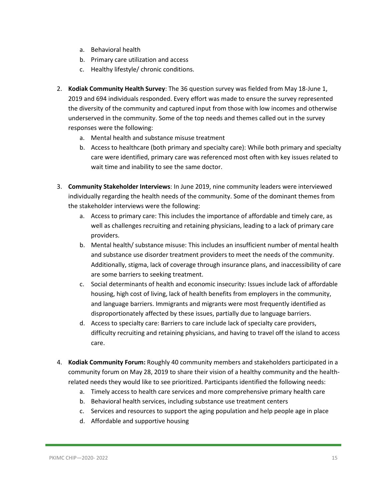- a. Behavioral health
- b. Primary care utilization and access
- c. Healthy lifestyle/ chronic conditions.
- 2. **Kodiak Community Health Survey**: The 36 question survey was fielded from May 18-June 1, 2019 and 694 individuals responded. Every effort was made to ensure the survey represented the diversity of the community and captured input from those with low incomes and otherwise underserved in the community. Some of the top needs and themes called out in the survey responses were the following:
	- a. Mental health and substance misuse treatment
	- b. Access to healthcare (both primary and specialty care): While both primary and specialty care were identified, primary care was referenced most often with key issues related to wait time and inability to see the same doctor.
- 3. **Community Stakeholder Interviews**: In June 2019, nine community leaders were interviewed individually regarding the health needs of the community. Some of the dominant themes from the stakeholder interviews were the following:
	- a. Access to primary care: This includes the importance of affordable and timely care, as well as challenges recruiting and retaining physicians, leading to a lack of primary care providers.
	- b. Mental health/ substance misuse: This includes an insufficient number of mental health and substance use disorder treatment providers to meet the needs of the community. Additionally, stigma, lack of coverage through insurance plans, and inaccessibility of care are some barriers to seeking treatment.
	- c. Social determinants of health and economic insecurity: Issues include lack of affordable housing, high cost of living, lack of health benefits from employers in the community, and language barriers. Immigrants and migrants were most frequently identified as disproportionately affected by these issues, partially due to language barriers.
	- d. Access to specialty care: Barriers to care include lack of specialty care providers, difficulty recruiting and retaining physicians, and having to travel off the island to access care.
- 4. **Kodiak Community Forum:** Roughly 40 community members and stakeholders participated in a community forum on May 28, 2019 to share their vision of a healthy community and the healthrelated needs they would like to see prioritized. Participants identified the following needs:
	- a. Timely access to health care services and more comprehensive primary health care
	- b. Behavioral health services, including substance use treatment centers
	- c. Services and resources to support the aging population and help people age in place
	- d. Affordable and supportive housing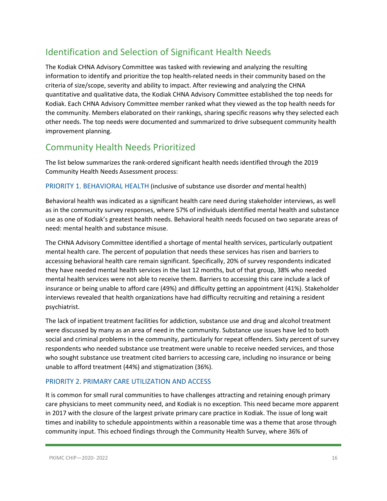#### <span id="page-15-0"></span>Identification and Selection of Significant Health Needs

The Kodiak CHNA Advisory Committee was tasked with reviewing and analyzing the resulting information to identify and prioritize the top health-related needs in their community based on the criteria of size/scope, severity and ability to impact. After reviewing and analyzing the CHNA quantitative and qualitative data, the Kodiak CHNA Advisory Committee established the top needs for Kodiak. Each CHNA Advisory Committee member ranked what they viewed as the top health needs for the community. Members elaborated on their rankings, sharing specific reasons why they selected each other needs. The top needs were documented and summarized to drive subsequent community health improvement planning.

#### <span id="page-15-1"></span>Community Health Needs Prioritized

The list below summarizes the rank-ordered significant health needs identified through the 2019 Community Health Needs Assessment process:

<span id="page-15-2"></span>PRIORITY 1. BEHAVIORAL HEALTH (inclusive of substance use disorder *and* mental health)

Behavioral health was indicated as a significant health care need during stakeholder interviews, as well as in the community survey responses, where 57% of individuals identified mental health and substance use as one of Kodiak's greatest health needs. Behavioral health needs focused on two separate areas of need: mental health and substance misuse.

The CHNA Advisory Committee identified a shortage of mental health services, particularly outpatient mental health care. The percent of population that needs these services has risen and barriers to accessing behavioral health care remain significant. Specifically, 20% of survey respondents indicated they have needed mental health services in the last 12 months, but of that group, 38% who needed mental health services were not able to receive them. Barriers to accessing this care include a lack of insurance or being unable to afford care (49%) and difficulty getting an appointment (41%). Stakeholder interviews revealed that health organizations have had difficulty recruiting and retaining a resident psychiatrist.

The lack of inpatient treatment facilities for addiction, substance use and drug and alcohol treatment were discussed by many as an area of need in the community. Substance use issues have led to both social and criminal problems in the community, particularly for repeat offenders. Sixty percent of survey respondents who needed substance use treatment were unable to receive needed services, and those who sought substance use treatment cited barriers to accessing care, including no insurance or being unable to afford treatment (44%) and stigmatization (36%).

#### <span id="page-15-3"></span>PRIORITY 2. PRIMARY CARE UTILIZATION AND ACCESS

It is common for small rural communities to have challenges attracting and retaining enough primary care physicians to meet community need, and Kodiak is no exception. This need became more apparent in 2017 with the closure of the largest private primary care practice in Kodiak. The issue of long wait times and inability to schedule appointments within a reasonable time was a theme that arose through community input. This echoed findings through the Community Health Survey, where 36% of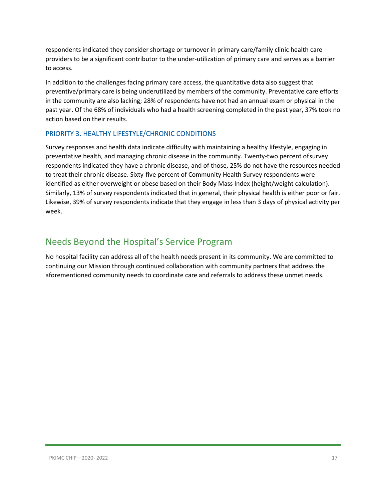respondents indicated they consider shortage or turnover in primary care/family clinic health care providers to be a significant contributor to the under-utilization of primary care and serves as a barrier to access.

In addition to the challenges facing primary care access, the quantitative data also suggest that preventive/primary care is being underutilized by members of the community. Preventative care efforts in the community are also lacking; 28% of respondents have not had an annual exam or physical in the past year. Of the 68% of individuals who had a health screening completed in the past year, 37% took no action based on their results.

#### <span id="page-16-0"></span>PRIORITY 3. HEALTHY LIFESTYLE/CHRONIC CONDITIONS

Survey responses and health data indicate difficulty with maintaining a healthy lifestyle, engaging in preventative health, and managing chronic disease in the community. Twenty-two percent ofsurvey respondents indicated they have a chronic disease, and of those, 25% do not have the resources needed to treat their chronic disease. Sixty-five percent of Community Health Survey respondents were identified as either overweight or obese based on their Body Mass Index (height/weight calculation). Similarly, 13% of survey respondents indicated that in general, their physical health is either poor or fair. Likewise, 39% of survey respondents indicate that they engage in less than 3 days of physical activity per week.

#### <span id="page-16-1"></span>Needs Beyond the Hospital's Service Program

No hospital facility can address all of the health needs present in its community. We are committed to continuing our Mission through continued collaboration with community partners that address the aforementioned community needs to coordinate care and referrals to address these unmet needs.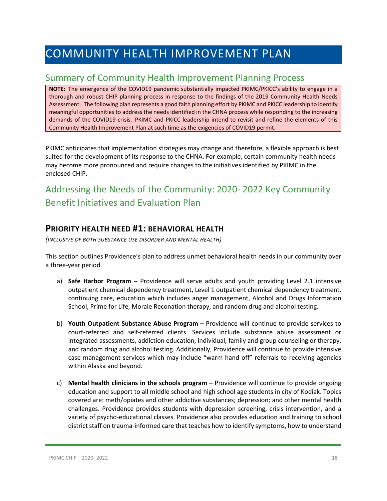## <span id="page-17-0"></span>COMMUNITY HEALTH IMPROVEMENT PLAN

#### <span id="page-17-1"></span>Summary of Community Health Improvement Planning Process

**NOTE:** The emergence of the COVID19 pandemic substantially impacted PKIMC/PKICC's ability to engage in a thorough and robust CHIP planning process in response to the findings of the 2019 Community Health Needs Assessment. The following plan represents a good faith planning effort by PKIMC and PKICC leadership to identify meaningful opportunities to address the needs identified in the CHNA process while responding to the increasing demands of the COVID19 crisis. PKIMC and PKICC leadership intend to revisit and refine the elements of this Community Health Improvement Plan at such time as the exigencies of COVID19 permit.

PKIMC anticipates that implementation strategies may change and therefore, a flexible approach is best suited for the development of its response to the CHNA. For example, certain community health needs may become more pronounced and require changes to the initiatives identified by PKIMC in the enclosed CHIP.

#### <span id="page-17-2"></span>Addressing the Needs of the Community: 2020- 2022 Key Community Benefit Initiatives and Evaluation Plan

#### **PRIORITY HEALTH NEED #1: BEHAVIORAL HEALTH**

*(INCLUSIVE OF BOTH SUBSTANCE USE DISORDER AND MENTAL HEALTH)*

This section outlines Providence's plan to address unmet behavioral health needs in our community over a three-year period.

- a) **Safe Harbor Program –** Providence will serve adults and youth providing Level 2.1 intensive outpatient chemical dependency treatment, Level 1 outpatient chemical dependency treatment, continuing care, education which includes anger management, Alcohol and Drugs Information School, Prime for Life, Morale Reconation therapy, and random drug and alcohol testing.
- b) **Youth Outpatient Substance Abuse Program** Providence will continue to provide services to court-referred and self-referred clients. Services include substance abuse assessment or integrated assessments, addiction education, individual, family and group counseling or therapy, and random drug and alcohol testing. Additionally, Providence will continue to provide intensive case management services which may include "warm hand off" referrals to receiving agencies within Alaska and beyond.
- c) **Mental health clinicians in the schools program –** Providence will continue to provide ongoing education and support to all middle school and high school age students in city of Kodiak. Topics covered are: meth/opiates and other addictive substances; depression; and other mental health challenges. Providence provides students with depression screening, crisis intervention, and a variety of psycho-educational classes. Providence also provides education and training to school district staff on trauma-informed care that teaches how to identify symptoms, how to understand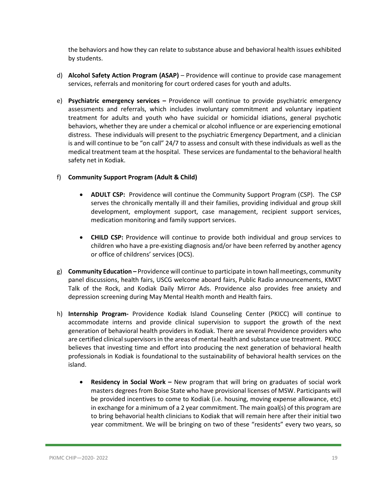the behaviors and how they can relate to substance abuse and behavioral health issues exhibited by students.

- d) **Alcohol Safety Action Program (ASAP)** Providence will continue to provide case management services, referrals and monitoring for court ordered cases for youth and adults.
- e) **Psychiatric emergency services –** Providence will continue to provide psychiatric emergency assessments and referrals, which includes involuntary commitment and voluntary inpatient treatment for adults and youth who have suicidal or homicidal idiations, general psychotic behaviors, whether they are under a chemical or alcohol influence or are experiencing emotional distress. These individuals will present to the psychiatric Emergency Department, and a clinician is and will continue to be "on call" 24/7 to assess and consult with these individuals as well as the medical treatment team at the hospital. These services are fundamental to the behavioral health safety net in Kodiak.

#### f) **Community Support Program (Adult & Child)**

- **ADULT CSP:** Providence will continue the Community Support Program (CSP). The CSP serves the chronically mentally ill and their families, providing individual and group skill development, employment support, case management, recipient support services, medication monitoring and family support services.
- **CHILD CSP:** Providence will continue to provide both individual and group services to children who have a pre-existing diagnosis and/or have been referred by another agency or office of childrens' services (OCS).
- g) **Community Education –** Providence will continue to participate in town hall meetings, community panel discussions, health fairs, USCG welcome aboard fairs, Public Radio announcements, KMXT Talk of the Rock, and Kodiak Daily Mirror Ads. Providence also provides free anxiety and depression screening during May Mental Health month and Health fairs.
- h) **Internship Program-** Providence Kodiak Island Counseling Center (PKICC) will continue to accommodate interns and provide clinical supervision to support the growth of the next generation of behavioral health providers in Kodiak. There are several Providence providers who are certified clinical supervisors in the areas of mental health and substance use treatment. PKICC believes that investing time and effort into producing the next generation of behavioral health professionals in Kodiak is foundational to the sustainability of behavioral health services on the island.
	- **Residency in Social Work –** New program that will bring on graduates of social work masters degrees from Boise State who have provisional licenses of MSW. Participants will be provided incentives to come to Kodiak (i.e. housing, moving expense allowance, etc) in exchange for a minimum of a 2 year commitment. The main goal(s) of this program are to bring behavorial health clinicians to Kodiak that will remain here after their initial two year commitment. We will be bringing on two of these "residents" every two years, so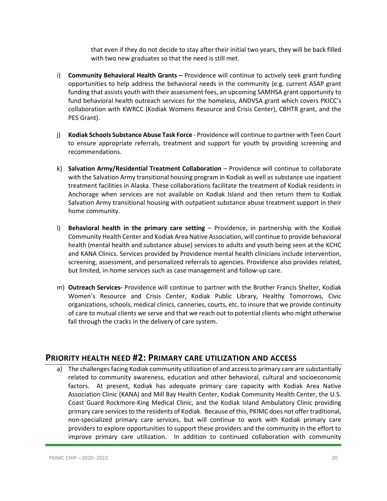that even if they do not decide to stay after their initial two years, they will be back filled with two new graduates so that the need is still met.

- i) **Community Behavioral Health Grants –** Providence will continue to actively seek grant funding opportunities to help address the behavioral needs in the community (e.g. current ASAP grant funding that assists youth with their assessment fees, an upcoming SAMHSA grant opportunity to fund behavioral health outreach services for the homeless, ANDVSA grant which covers PKICC's collaboration with KWRCC (Kodiak Womens Resource and Crisis Center), CBHTR grant, and the PES Grant).
- j) **Kodiak Schools Substance Abuse Task Force** Providence will continue to partner with Teen Court to ensure appropriate referrals, treatment and support for youth by providing screening and recommendations.
- k) **Salvation Army/Residential Treatment Collaboration** Providence will continue to collaborate with the Salvation Army transitional housing program in Kodiak as well as substance use inpatient treatment facilities in Alaska. These collaborations facilitate the treatment of Kodiak residents in Anchorage when services are not available on Kodiak Island and then return them to Kodiak Salvation Army transitional housing with outpatient substance abuse treatment support in their home community.
- l) **Behavioral health in the primary care setting**  Providence, in partnership with the Kodiak Community Health Center and Kodiak Area Native Association, will continue to provide behavioral health (mental health and substance abuse) services to adults and youth being seen at the KCHC and KANA Clinics. Services provided by Providence mental health clinicians include intervention, screening, assessment, and personalized referrals to agencies. Providence also provides related, but limited, in-home services such as case management and follow-up care.
- m) **Outreach Services-** Providence will continue to partner with the Brother Francis Shelter, Kodiak Women's Resource and Crisis Center, Kodiak Public Library, Healthy Tomorrows, Civic organizations, schools, medical clinics, canneries, courts, etc. to insure that we provide continuity of care to mutual clients we serve and that we reach out to potential clients who might otherwise fall through the cracks in the delivery of care system.

#### **PRIORITY HEALTH NEED #2: PRIMARY CARE UTILIZATION AND ACCESS**

a) The challenges facing Kodiak community utilization of and access to primary care are substantially related to community awareness, education and other behavioral, cultural and socioeconomic factors. At present, Kodiak has adequate primary care capacity with Kodiak Area Native Association Clinic (KANA) and Mill Bay Health Center, Kodiak Community Health Center, the U.S. Coast Guard Rockmore-King Medical Clinic, and the Kodiak Island Ambulatory Clinic providing primary care services to the residents of Kodiak. Because of this, PKIMC does not offer traditional, non-specialized primary care services, but will continue to work with Kodiak primary care providers to explore opportunities to support these providers and the community in the effort to improve primary care utilization. In addition to continued collaboration with community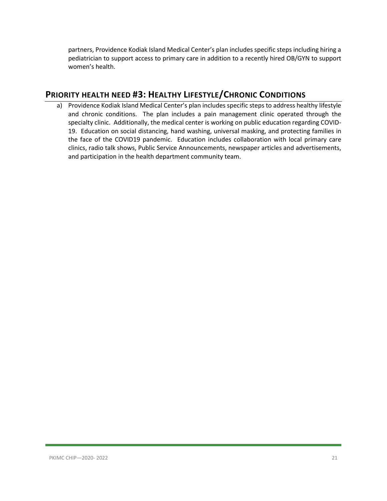partners, Providence Kodiak Island Medical Center's plan includes specific steps including hiring a pediatrician to support access to primary care in addition to a recently hired OB/GYN to support women's health.

#### **PRIORITY HEALTH NEED #3: HEALTHY LIFESTYLE/CHRONIC CONDITIONS**

a) Providence Kodiak Island Medical Center's plan includes specific steps to address healthy lifestyle and chronic conditions. The plan includes a pain management clinic operated through the specialty clinic. Additionally, the medical center is working on public education regarding COVID-19. Education on social distancing, hand washing, universal masking, and protecting families in the face of the COVID19 pandemic. Education includes collaboration with local primary care clinics, radio talk shows, Public Service Announcements, newspaper articles and advertisements, and participation in the health department community team.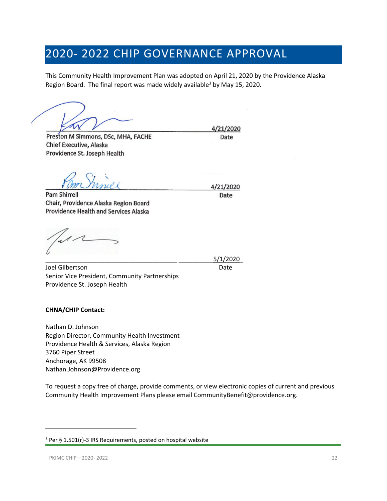### <span id="page-21-0"></span>2020- 2022 CHIP GOVERNANCE APPROVAL

This Community Health Improvement Plan was adopted on April 21, 2020 by the Providence Alaska Region Board. The final report was made widely available<sup>[3](#page-21-1)</sup> by May 15, 2020.

 $\bigcup_{i\in I}\bigcap_{i\in I}$  $\frac{4}{21/2020}$ 

Preston M Simmons, DS Chief Executive, Alaska<br>Providence St. Joseph Health

 $\mu_{m}$ 

Pam Shirrell<br>Chair, Providence Alaska Region Board Providence Health and Services Alaska

\_\_\_\_\_\_\_\_\_\_\_\_\_\_\_\_\_\_\_\_\_\_\_\_\_\_\_\_\_\_\_\_\_\_\_\_\_\_ \_\_\_\_\_\_\_\_\_\_5/1/2020\_

Joel Gilbertson Date Senior Vice President, Community Partnerships Providence St. Joseph Health

**CHNA/CHIP Contact:**

Nathan D. Johnson Region Director, Community Health Investment Providence Health & Services, Alaska Region 3760 Piper Street Anchorage, AK 99508 Nathan.Johnson@Providence.org

To request a copy free of charge, provide comments, or view electronic copies of current and previous Community Health Improvement Plans please email CommunityBenefit@providence.org.

 $P_{\text{min}} > \sqrt{N}$ 

<span id="page-21-1"></span> $3$  Per § 1.501(r)-3 IRS Requirements, posted on hospital website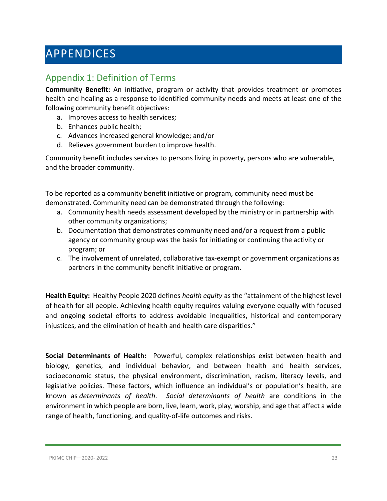# <span id="page-22-0"></span>APPENDICES

#### <span id="page-22-1"></span>Appendix 1: Definition of Terms

**Community Benefit:** An initiative, program or activity that provides treatment or promotes health and healing as a response to identified community needs and meets at least one of the following community benefit objectives:

- a. Improves access to health services;
- b. Enhances public health;
- c. Advances increased general knowledge; and/or
- d. Relieves government burden to improve health.

Community benefit includes services to persons living in poverty, persons who are vulnerable, and the broader community.

To be reported as a community benefit initiative or program, community need must be demonstrated. Community need can be demonstrated through the following:

- a. Community health needs assessment developed by the ministry or in partnership with other community organizations;
- b. Documentation that demonstrates community need and/or a request from a public agency or community group was the basis for initiating or continuing the activity or program; or
- c. The involvement of unrelated, collaborative tax-exempt or government organizations as partners in the community benefit initiative or program.

**Health Equity:** Healthy People 2020 defines *health equity* as the "attainment of the highest level of health for all people. Achieving health equity requires valuing everyone equally with focused and ongoing societal efforts to address avoidable inequalities, historical and contemporary injustices, and the elimination of health and health care disparities."

**Social Determinants of Health:** Powerful, complex relationships exist between health and biology, genetics, and individual behavior, and between health and health services, socioeconomic status, the physical environment, discrimination, racism, literacy levels, and legislative policies. These factors, which influence an individual's or population's health, are known as *determinants of health*. *Social determinants of health* are conditions in the environment in which people are born, live, learn, work, play, worship, and age that affect a wide range of health, functioning, and quality-of-life outcomes and risks.